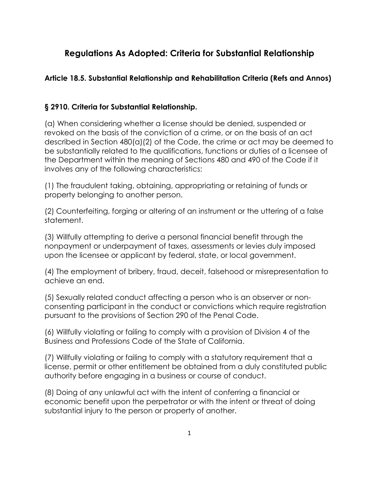## **Regulations As Adopted: Criteria for Substantial Relationship**

## **Article 18.5. Substantial Relationship and Rehabilitation Criteria (Refs and Annos)**

## **§ 2910. Criteria for Substantial Relationship.**

(a) When considering whether a license should be denied, suspended or revoked on the basis of the conviction of a crime, or on the basis of an act described in Section 480(a)(2) of the Code, the crime or act may be deemed to be substantially related to the qualifications, functions or duties of a licensee of the Department within the meaning of Sections 480 and 490 of the Code if it involves any of the following characteristics:

(1) The fraudulent taking, obtaining, appropriating or retaining of funds or property belonging to another person.

(2) Counterfeiting, forging or altering of an instrument or the uttering of a false statement.

(3) Willfully attempting to derive a personal financial benefit through the nonpayment or underpayment of taxes, assessments or levies duly imposed upon the licensee or applicant by federal, state, or local government.

(4) The employment of bribery, fraud, deceit, falsehood or misrepresentation to achieve an end.

(5) Sexually related conduct affecting a person who is an observer or nonconsenting participant in the conduct or convictions which require registration pursuant to the provisions of Section 290 of the Penal Code.

(6) Willfully violating or failing to comply with a provision of Division 4 of the Business and Professions Code of the State of California.

authority before engaging in a business or course of conduct. (7) Willfully violating or failing to comply with a statutory requirement that a license, permit or other entitlement be obtained from a duly constituted public

(8) Doing of any unlawful act with the intent of conferring a financial or economic benefit upon the perpetrator or with the intent or threat of doing substantial injury to the person or property of another.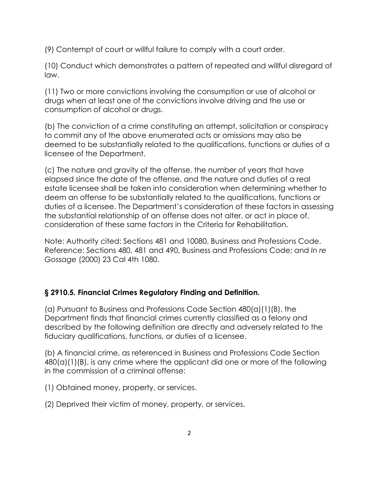(9) Contempt of court or willful failure to comply with a court order.

(10) Conduct which demonstrates a pattern of repeated and willful disregard of law.

(11) Two or more convictions involving the consumption or use of alcohol or drugs when at least one of the convictions involve driving and the use or consumption of alcohol or drugs.

(b) The conviction of a crime constituting an attempt, solicitation or conspiracy to commit any of the above enumerated acts or omissions may also be deemed to be substantially related to the qualifications, functions or duties of a licensee of the Department.

(c) The nature and gravity of the offense, the number of years that have elapsed since the date of the offense, and the nature and duties of a real estate licensee shall be taken into consideration when determining whether to deem an offense to be substantially related to the qualifications, functions or duties of a licensee. The Department's consideration of these factors in assessing the substantial relationship of an offense does not alter, or act in place of, consideration of these same factors in the Criteria for Rehabilitation.

Note: Authority cited: Sections 481 and 10080, Business and Professions Code. Reference: Sections 480, 481 and 490, Business and Professions Code; and *In re Gossage* (2000) 23 Cal 4th 1080.

## **§ 2910.5. Financial Crimes Regulatory Finding and Definition.**

(a) Pursuant to Business and Professions Code Section 480(a)(1)(B), the Department finds that financial crimes currently classified as a felony and described by the following definition are directly and adversely related to the fiduciary qualifications, functions, or duties of a licensee.

(b) A financial crime, as referenced in Business and Professions Code Section 480(a)(1)(B), is any crime where the applicant did one or more of the following in the commission of a criminal offense:

(1) Obtained money, property, or services.

(2) Deprived their victim of money, property, or services.